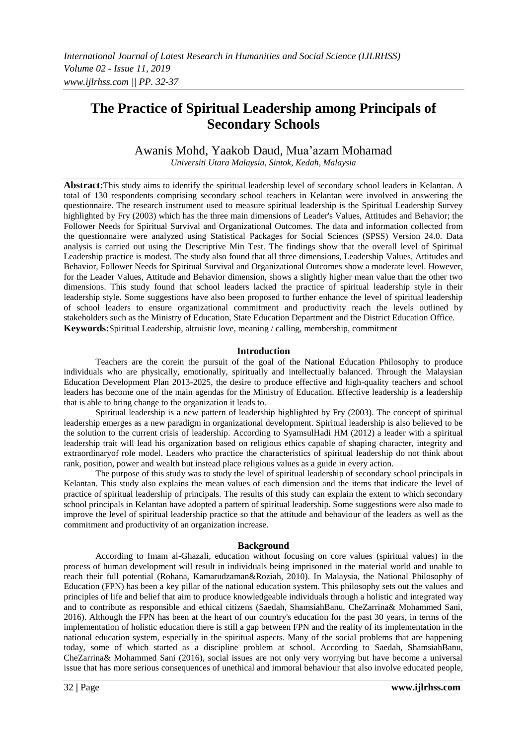# **The Practice of Spiritual Leadership among Principals of Secondary Schools**

Awanis Mohd, Yaakob Daud, Mua'azam Mohamad *Universiti Utara Malaysia, Sintok, Kedah, Malaysia*

**Abstract:**This study aims to identify the spiritual leadership level of secondary school leaders in Kelantan. A total of 130 respondents comprising secondary school teachers in Kelantan were involved in answering the questionnaire. The research instrument used to measure spiritual leadership is the Spiritual Leadership Survey highlighted by Fry (2003) which has the three main dimensions of Leader's Values, Attitudes and Behavior; the Follower Needs for Spiritual Survival and Organizational Outcomes. The data and information collected from the questionnaire were analyzed using Statistical Packages for Social Sciences (SPSS) Version 24.0. Data analysis is carried out using the Descriptive Min Test. The findings show that the overall level of Spiritual Leadership practice is modest. The study also found that all three dimensions, Leadership Values, Attitudes and Behavior, Follower Needs for Spiritual Survival and Organizational Outcomes show a moderate level. However, for the Leader Values, Attitude and Behavior dimension, shows a slightly higher mean value than the other two dimensions. This study found that school leaders lacked the practice of spiritual leadership style in their leadership style. Some suggestions have also been proposed to further enhance the level of spiritual leadership of school leaders to ensure organizational commitment and productivity reach the levels outlined by stakeholders such as the Ministry of Education, State Education Department and the District Education Office. **Keywords:**Spiritual Leadership, altruistic love, meaning / calling, membership, commitment

### **Introduction**

Teachers are the corein the pursuit of the goal of the National Education Philosophy to produce individuals who are physically, emotionally, spiritually and intellectually balanced. Through the Malaysian Education Development Plan 2013-2025, the desire to produce effective and high-quality teachers and school leaders has become one of the main agendas for the Ministry of Education. Effective leadership is a leadership that is able to bring change to the organization it leads to.

Spiritual leadership is a new pattern of leadership highlighted by Fry (2003). The concept of spiritual leadership emerges as a new paradigm in organizational development. Spiritual leadership is also believed to be the solution to the current crisis of leadership. According to SyamsulHadi HM (2012) a leader with a spiritual leadership trait will lead his organization based on religious ethics capable of shaping character, integrity and extraordinaryof role model. Leaders who practice the characteristics of spiritual leadership do not think about rank, position, power and wealth but instead place religious values as a guide in every action.

The purpose of this study was to study the level of spiritual leadership of secondary school principals in Kelantan. This study also explains the mean values of each dimension and the items that indicate the level of practice of spiritual leadership of principals. The results of this study can explain the extent to which secondary school principals in Kelantan have adopted a pattern of spiritual leadership. Some suggestions were also made to improve the level of spiritual leadership practice so that the attitude and behaviour of the leaders as well as the commitment and productivity of an organization increase.

### **Background**

According to Imam al-Ghazali, education without focusing on core values (spiritual values) in the process of human development will result in individuals being imprisoned in the material world and unable to reach their full potential (Rohana, Kamarudzaman&Roziah, 2010). In Malaysia, the National Philosophy of Education (FPN) has been a key pillar of the national education system. This philosophy sets out the values and principles of life and belief that aim to produce knowledgeable individuals through a holistic and integrated way and to contribute as responsible and ethical citizens (Saedah, ShamsiahBanu, CheZarrina& Mohammed Sani, 2016). Although the FPN has been at the heart of our country's education for the past 30 years, in terms of the implementation of holistic education there is still a gap between FPN and the reality of its implementation in the national education system, especially in the spiritual aspects. Many of the social problems that are happening today, some of which started as a discipline problem at school. According to Saedah, ShamsiahBanu, CheZarrina& Mohammed Sani (2016), social issues are not only very worrying but have become a universal issue that has more serious consequences of unethical and immoral behaviour that also involve educated people,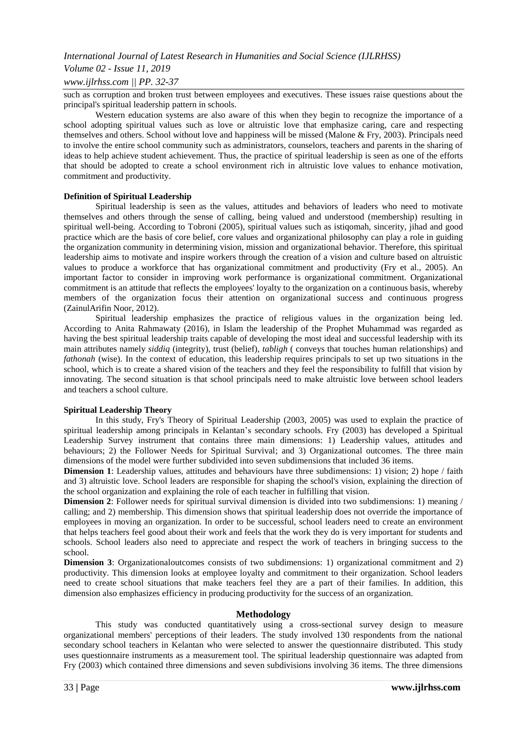### *Volume 02 - Issue 11, 2019*

### *www.ijlrhss.com || PP. 32-37*

such as corruption and broken trust between employees and executives. These issues raise questions about the principal's spiritual leadership pattern in schools.

Western education systems are also aware of this when they begin to recognize the importance of a school adopting spiritual values such as love or altruistic love that emphasize caring, care and respecting themselves and others. School without love and happiness will be missed (Malone & Fry, 2003). Principals need to involve the entire school community such as administrators, counselors, teachers and parents in the sharing of ideas to help achieve student achievement. Thus, the practice of spiritual leadership is seen as one of the efforts that should be adopted to create a school environment rich in altruistic love values to enhance motivation, commitment and productivity.

### **Definition of Spiritual Leadership**

Spiritual leadership is seen as the values, attitudes and behaviors of leaders who need to motivate themselves and others through the sense of calling, being valued and understood (membership) resulting in spiritual well-being. According to Tobroni (2005), spiritual values such as istiqomah, sincerity, jihad and good practice which are the basis of core belief, core values and organizational philosophy can play a role in guiding the organization community in determining vision, mission and organizational behavior. Therefore, this spiritual leadership aims to motivate and inspire workers through the creation of a vision and culture based on altruistic values to produce a workforce that has organizational commitment and productivity (Fry et al., 2005). An important factor to consider in improving work performance is organizational commitment. Organizational commitment is an attitude that reflects the employees' loyalty to the organization on a continuous basis, whereby members of the organization focus their attention on organizational success and continuous progress (ZainulArifin Noor, 2012).

Spiritual leadership emphasizes the practice of religious values in the organization being led. According to Anita Rahmawaty (2016), in Islam the leadership of the Prophet Muhammad was regarded as having the best spiritual leadership traits capable of developing the most ideal and successful leadership with its main attributes namely *siddiq* (integrity), trust (belief), *tabligh* ( conveys that touches human relationships) and *fathonah* (wise). In the context of education, this leadership requires principals to set up two situations in the school, which is to create a shared vision of the teachers and they feel the responsibility to fulfill that vision by innovating. The second situation is that school principals need to make altruistic love between school leaders and teachers a school culture.

### **Spiritual Leadership Theory**

In this study, Fry's Theory of Spiritual Leadership (2003, 2005) was used to explain the practice of spiritual leadership among principals in Kelantan's secondary schools. Fry (2003) has developed a Spiritual Leadership Survey instrument that contains three main dimensions: 1) Leadership values, attitudes and behaviours; 2) the Follower Needs for Spiritual Survival; and 3) Organizational outcomes. The three main dimensions of the model were further subdivided into seven subdimensions that included 36 items.

**Dimension 1**: Leadership values, attitudes and behaviours have three subdimensions: 1) vision; 2) hope / faith and 3) altruistic love. School leaders are responsible for shaping the school's vision, explaining the direction of the school organization and explaining the role of each teacher in fulfilling that vision.

**Dimension 2**: Follower needs for spiritual survival dimension is divided into two subdimensions: 1) meaning / calling; and 2) membership. This dimension shows that spiritual leadership does not override the importance of employees in moving an organization. In order to be successful, school leaders need to create an environment that helps teachers feel good about their work and feels that the work they do is very important for students and schools. School leaders also need to appreciate and respect the work of teachers in bringing success to the school.

**Dimension 3**: Organizationaloutcomes consists of two subdimensions: 1) organizational commitment and 2) productivity. This dimension looks at employee loyalty and commitment to their organization. School leaders need to create school situations that make teachers feel they are a part of their families. In addition, this dimension also emphasizes efficiency in producing productivity for the success of an organization.

### **Methodology**

This study was conducted quantitatively using a cross-sectional survey design to measure organizational members' perceptions of their leaders. The study involved 130 respondents from the national secondary school teachers in Kelantan who were selected to answer the questionnaire distributed. This study uses questionnaire instruments as a measurement tool. The spiritual leadership questionnaire was adapted from Fry (2003) which contained three dimensions and seven subdivisions involving 36 items. The three dimensions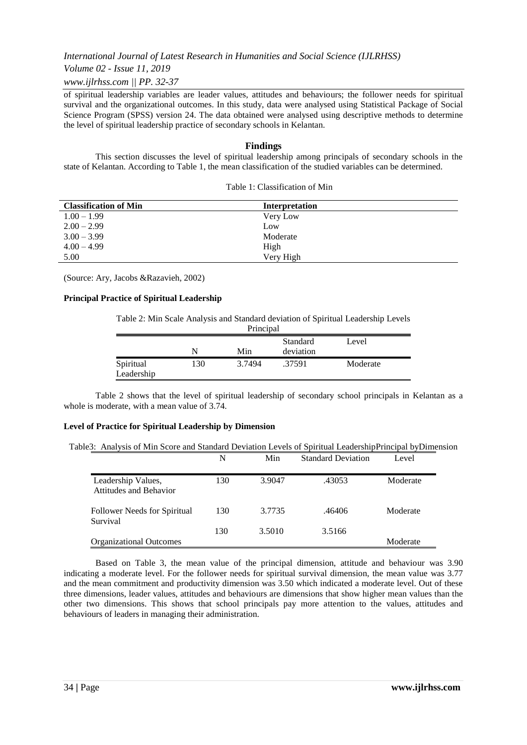*Volume 02 - Issue 11, 2019*

*www.ijlrhss.com || PP. 32-37*

of spiritual leadership variables are leader values, attitudes and behaviours; the follower needs for spiritual survival and the organizational outcomes. In this study, data were analysed using Statistical Package of Social Science Program (SPSS) version 24. The data obtained were analysed using descriptive methods to determine the level of spiritual leadership practice of secondary schools in Kelantan.

### **Findings**

This section discusses the level of spiritual leadership among principals of secondary schools in the state of Kelantan. According to Table 1, the mean classification of the studied variables can be determined.

| <b>Classification of Min</b> | Interpretation |  |
|------------------------------|----------------|--|
| $1.00 - 1.99$                | Very Low       |  |
| $2.00 - 2.99$                | Low            |  |
| $3.00 - 3.99$                | Moderate       |  |
| $4.00 - 4.99$                | High           |  |
| 5.00                         | Very High      |  |

| Table 1: Classification of Min |  |
|--------------------------------|--|
|                                |  |
|                                |  |
|                                |  |
|                                |  |
|                                |  |

(Source: Ary, Jacobs &Razavieh, 2002)

#### **Principal Practice of Spiritual Leadership**

Table 2: Min Scale Analysis and Standard deviation of Spiritual Leadership Levels

| Principal               |     |        |                       |          |  |
|-------------------------|-----|--------|-----------------------|----------|--|
|                         | N   | Min    | Standard<br>deviation | Level    |  |
| Spiritual<br>Leadership | 130 | 3.7494 | .37591                | Moderate |  |

Table 2 shows that the level of spiritual leadership of secondary school principals in Kelantan as a whole is moderate, with a mean value of 3.74.

#### **Level of Practice for Spiritual Leadership by Dimension**

Table3: Analysis of Min Score and Standard Deviation Levels of Spiritual LeadershipPrincipal byDimension

|                                              | N   | Min    | <b>Standard Deviation</b> | Level    |
|----------------------------------------------|-----|--------|---------------------------|----------|
| Leadership Values,<br>Attitudes and Behavior | 130 | 3.9047 | .43053                    | Moderate |
| Follower Needs for Spiritual<br>Survival     | 130 | 3.7735 | .46406                    | Moderate |
| <b>Organizational Outcomes</b>               | 130 | 3.5010 | 3.5166                    | Moderate |

Based on Table 3, the mean value of the principal dimension, attitude and behaviour was 3.90 indicating a moderate level. For the follower needs for spiritual survival dimension, the mean value was 3.77 and the mean commitment and productivity dimension was 3.50 which indicated a moderate level. Out of these three dimensions, leader values, attitudes and behaviours are dimensions that show higher mean values than the other two dimensions. This shows that school principals pay more attention to the values, attitudes and behaviours of leaders in managing their administration.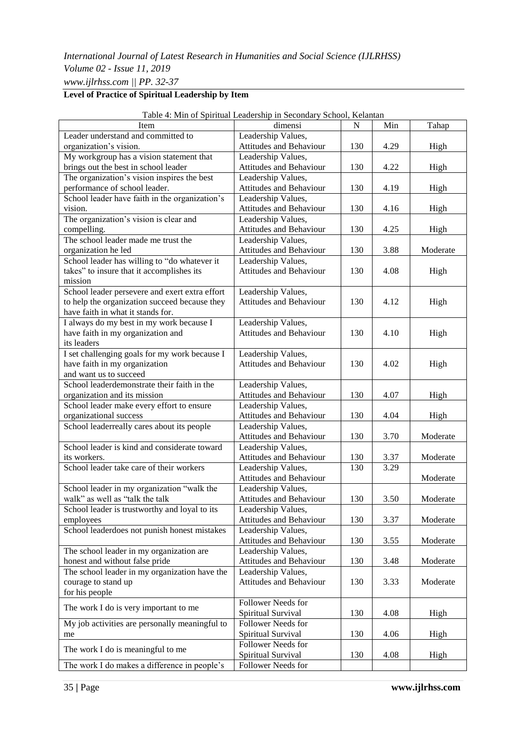# **Level of Practice of Spiritual Leadership by Item**

|                                                | raoic +. Milli of Spiritual Leadership in Secondary School, Kelanian |             |      |          |
|------------------------------------------------|----------------------------------------------------------------------|-------------|------|----------|
| Item                                           | dimensi                                                              | $\mathbf N$ | Min  | Tahap    |
| Leader understand and committed to             | Leadership Values,                                                   |             |      |          |
| organization's vision.                         | Attitudes and Behaviour                                              | 130         | 4.29 | High     |
| My workgroup has a vision statement that       | Leadership Values,                                                   |             |      |          |
| brings out the best in school leader           | Attitudes and Behaviour                                              | 130         | 4.22 | High     |
| The organization's vision inspires the best    | Leadership Values,                                                   |             |      |          |
| performance of school leader.                  | Attitudes and Behaviour                                              | 130         | 4.19 | High     |
| School leader have faith in the organization's | Leadership Values,                                                   |             |      |          |
| vision.                                        | Attitudes and Behaviour                                              | 130         | 4.16 | High     |
| The organization's vision is clear and         | Leadership Values,                                                   |             |      |          |
| compelling.                                    | Attitudes and Behaviour                                              | 130         | 4.25 | High     |
| The school leader made me trust the            | Leadership Values,                                                   |             |      |          |
| organization he led                            | Attitudes and Behaviour                                              | 130         | 3.88 | Moderate |
| School leader has willing to "do whatever it   | Leadership Values,                                                   |             |      |          |
| takes" to insure that it accomplishes its      | Attitudes and Behaviour                                              | 130         | 4.08 | High     |
| mission                                        |                                                                      |             |      |          |
| School leader persevere and exert extra effort | Leadership Values,                                                   |             |      |          |
| to help the organization succeed because they  | <b>Attitudes and Behaviour</b>                                       | 130         | 4.12 | High     |
| have faith in what it stands for.              |                                                                      |             |      |          |
| I always do my best in my work because I       | Leadership Values,                                                   |             |      |          |
| have faith in my organization and              | Attitudes and Behaviour                                              | 130         | 4.10 | High     |
| its leaders                                    |                                                                      |             |      |          |
| I set challenging goals for my work because I  | Leadership Values,                                                   |             |      |          |
| have faith in my organization                  | Attitudes and Behaviour                                              | 130         | 4.02 | High     |
| and want us to succeed                         |                                                                      |             |      |          |
| School leaderdemonstrate their faith in the    | Leadership Values,                                                   |             |      |          |
| organization and its mission                   | Attitudes and Behaviour                                              | 130         | 4.07 | High     |
| School leader make every effort to ensure      | Leadership Values,                                                   |             |      |          |
| organizational success                         | Attitudes and Behaviour                                              | 130         | 4.04 | High     |
| School leaderreally cares about its people     | Leadership Values,                                                   |             |      |          |
|                                                | Attitudes and Behaviour                                              | 130         | 3.70 | Moderate |
| School leader is kind and considerate toward   | Leadership Values,                                                   |             |      |          |
| its workers.                                   | Attitudes and Behaviour                                              | 130         | 3.37 | Moderate |
| School leader take care of their workers       | Leadership Values,                                                   | 130         | 3.29 |          |
|                                                | Attitudes and Behaviour                                              |             |      | Moderate |
| School leader in my organization "walk the     | Leadership Values,                                                   |             |      |          |
| walk" as well as "talk the talk                | Attitudes and Behaviour                                              | 130         | 3.50 | Moderate |
| School leader is trustworthy and loyal to its  | Leadership Values,                                                   |             |      |          |
| employees                                      | Attitudes and Behaviour                                              | 130         | 3.37 | Moderate |
| School leaderdoes not punish honest mistakes   | Leadership Values,                                                   |             |      |          |
|                                                | Attitudes and Behaviour                                              | 130         | 3.55 | Moderate |
| The school leader in my organization are       | Leadership Values,                                                   |             |      |          |
| honest and without false pride                 | Attitudes and Behaviour                                              | 130         | 3.48 | Moderate |
| The school leader in my organization have the  | Leadership Values,                                                   |             |      |          |
| courage to stand up                            | Attitudes and Behaviour                                              | 130         | 3.33 | Moderate |
| for his people                                 |                                                                      |             |      |          |
|                                                | Follower Needs for                                                   |             |      |          |
| The work I do is very important to me          | Spiritual Survival                                                   | 130         | 4.08 | High     |
| My job activities are personally meaningful to | Follower Needs for                                                   |             |      |          |
| me                                             | Spiritual Survival                                                   | 130         | 4.06 | High     |
|                                                | Follower Needs for                                                   |             |      |          |
| The work I do is meaningful to me              | Spiritual Survival                                                   | 130         | 4.08 | High     |
| The work I do makes a difference in people's   | Follower Needs for                                                   |             |      |          |

Table 4: Min of Spiritual Leadership in Secondary School, Kelantan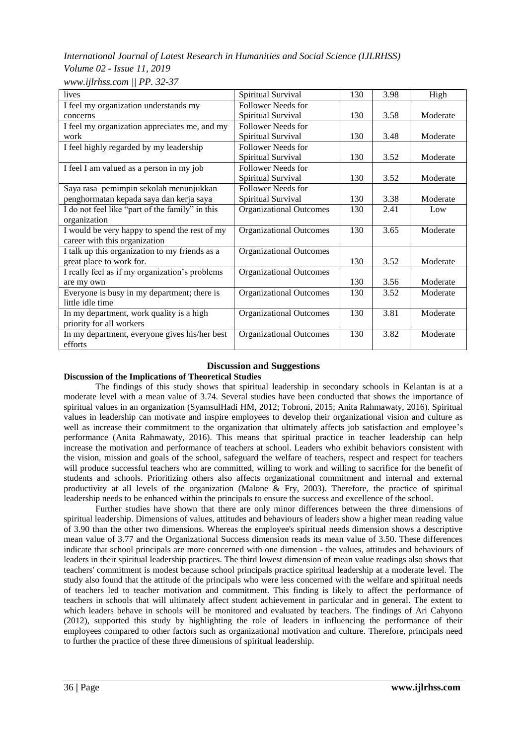### *Volume 02 - Issue 11, 2019 www.ijlrhss.com || PP. 32-37*

| lives                                                    | Spiritual Survival             | 130 | 3.98 | High     |
|----------------------------------------------------------|--------------------------------|-----|------|----------|
| I feel my organization understands my                    | Follower Needs for             |     |      |          |
| concerns                                                 | Spiritual Survival             | 130 | 3.58 | Moderate |
| I feel my organization appreciates me, and my            | Follower Needs for             |     |      |          |
| work                                                     | Spiritual Survival             | 130 | 3.48 | Moderate |
| I feel highly regarded by my leadership                  | Follower Needs for             |     |      |          |
|                                                          | Spiritual Survival             | 130 | 3.52 | Moderate |
| I feel I am valued as a person in my job                 | Follower Needs for             |     |      |          |
|                                                          | Spiritual Survival             | 130 | 3.52 | Moderate |
| Saya rasa pemimpin sekolah menunjukkan                   | Follower Needs for             |     |      |          |
| penghormatan kepada saya dan kerja saya                  | Spiritual Survival             | 130 | 3.38 | Moderate |
| I do not feel like "part of the family" in this          | <b>Organizational Outcomes</b> | 130 | 2.41 | Low      |
| organization                                             |                                |     |      |          |
| I would be very happy to spend the rest of my            | <b>Organizational Outcomes</b> | 130 | 3.65 | Moderate |
| career with this organization                            |                                |     |      |          |
| I talk up this organization to my friends as a           | <b>Organizational Outcomes</b> |     |      |          |
| great place to work for.                                 |                                | 130 | 3.52 | Moderate |
| I really feel as if my organization's problems           | <b>Organizational Outcomes</b> |     |      |          |
| are my own                                               |                                | 130 | 3.56 | Moderate |
| Everyone is busy in my department; there is              | <b>Organizational Outcomes</b> | 130 | 3.52 | Moderate |
| little idle time                                         |                                |     |      |          |
| In my department, work quality is a high                 | <b>Organizational Outcomes</b> | 130 | 3.81 | Moderate |
| priority for all workers                                 |                                |     |      |          |
| In my department, everyone gives his/her best<br>efforts | <b>Organizational Outcomes</b> | 130 | 3.82 | Moderate |
|                                                          |                                |     |      |          |

# **Discussion and Suggestions**

# **Discussion of the Implications of Theoretical Studies**

The findings of this study shows that spiritual leadership in secondary schools in Kelantan is at a moderate level with a mean value of 3.74. Several studies have been conducted that shows the importance of spiritual values in an organization (SyamsulHadi HM, 2012; Tobroni, 2015; Anita Rahmawaty, 2016). Spiritual values in leadership can motivate and inspire employees to develop their organizational vision and culture as well as increase their commitment to the organization that ultimately affects job satisfaction and employee's performance (Anita Rahmawaty, 2016). This means that spiritual practice in teacher leadership can help increase the motivation and performance of teachers at school. Leaders who exhibit behaviors consistent with the vision, mission and goals of the school, safeguard the welfare of teachers, respect and respect for teachers will produce successful teachers who are committed, willing to work and willing to sacrifice for the benefit of students and schools. Prioritizing others also affects organizational commitment and internal and external productivity at all levels of the organization (Malone & Fry, 2003). Therefore, the practice of spiritual leadership needs to be enhanced within the principals to ensure the success and excellence of the school.

Further studies have shown that there are only minor differences between the three dimensions of spiritual leadership. Dimensions of values, attitudes and behaviours of leaders show a higher mean reading value of 3.90 than the other two dimensions. Whereas the employee's spiritual needs dimension shows a descriptive mean value of 3.77 and the Organizational Success dimension reads its mean value of 3.50. These differences indicate that school principals are more concerned with one dimension - the values, attitudes and behaviours of leaders in their spiritual leadership practices. The third lowest dimension of mean value readings also shows that teachers' commitment is modest because school principals practice spiritual leadership at a moderate level. The study also found that the attitude of the principals who were less concerned with the welfare and spiritual needs of teachers led to teacher motivation and commitment. This finding is likely to affect the performance of teachers in schools that will ultimately affect student achievement in particular and in general. The extent to which leaders behave in schools will be monitored and evaluated by teachers. The findings of Ari Cahyono (2012), supported this study by highlighting the role of leaders in influencing the performance of their employees compared to other factors such as organizational motivation and culture. Therefore, principals need to further the practice of these three dimensions of spiritual leadership.